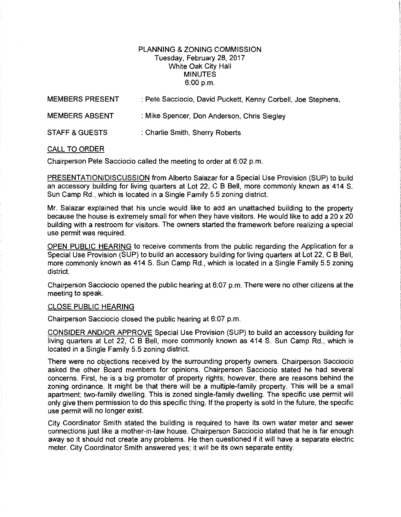## PLANNING & ZONING COMMISSION Tuesday, February 28, 2017 White Oak City Hall MINUTES 6:00 p.m.

| <b>MEMBERS PRESENT</b>    | : Pete Sacciocio, David Puckett, Kenny Corbell, Joe Stephens, |
|---------------------------|---------------------------------------------------------------|
| <b>MEMBERS ABSENT</b>     | : Mike Spencer, Don Anderson, Chris Siegley                   |
| <b>STAFF &amp; GUESTS</b> | : Charlie Smith, Sherry Roberts                               |

## CALL TO ORDER

Chairperson Pete Sacciocio called the meeting to order at 6:02 p.m.

PRESENTATION/DISCUSSION from Alberto Salazar for a Special Use Provision (SUP) to build an accessory building for living quarters at Lot 22, C B Bell, more commonly known as 414 S. Sun Camp Rd., which is located in a Single Family 5.5 zoning district.

Mr. Salazar explained that his uncle would like to add an unattached building to the property because the house is extremely small for when they have visitors. He would like to add a 20 x 20 building with a restroom for visitors. The owners started the framework before realizing a special use permit was required.

OPEN PUBLIC HEARING to receive comments from the public regarding the Application for a Special Use Provision (SUP) to build an accessory building for living quarters at Lot 22, C B Bell, more commonly known as 414 S. Sun Camp Rd., which is located in a Single Family 5.5 zoning district.

Chairperson Sacciocio opened the public hearing at 6:07 p.m. There were no other citizens at the meeting to speak.

## CLOSE PUBLIC HEARING

Chairperson Sacciocio closed the public hearing at 6:07 p.m.

CONSIDER AND/OR APPROVE Special Use Provision (SUP) to build an accessory building for living quarters at Lot 22, C B Bell, more commonly known as 414 S. Sun Camp Rd., which is located in a Single Family 5.5 zoning district.

There were no objections received by the surrounding property owners. Chairperson Sacciocio asked the other Board members for opinions. Chairperson Sacciocio stated he had several concerns. First, he is a big promoter of property rights; however, there are reasons behind the zoning ordinance. It might be that there will be a multiple-family property. This will be a small apartment; two-family dwelling. This is zoned single-family dwelling. The specific use permit will only give them permission to do this specific thing. If the property is sold in the future, the specific use permit will no longer exist.

City Coordinator Smith stated the building is required to have its own water meter and sewer connections just like a mother-in-law house. Chairperson Sacciocio stated that he is far enough away so it should not create any problems. He then questioned if it will have a separate electric meter. City Coordinator Smith answered yes; it will be its own separate entity.